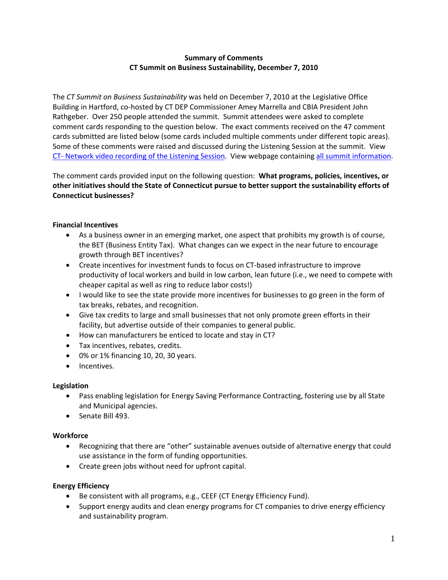## **Summary of Comments CT Summit on Business Sustainability, December 7, 2010**

The *CT Summit on Business Sustainability* was held on December 7, 2010 at the Legislative Office Building in Hartford, co‐hosted by CT DEP Commissioner Amey Marrella and CBIA President John Rathgeber. Over 250 people attended the summit. Summit attendees were asked to complete comment cards responding to the question below. The exact comments received on the 47 comment cards submitted are listed below (some cards included multiple comments under different topic areas). Some of these comments were raised and discussed during the Listening Session at the summit. View CT‐ Network video [recording](http://ct-n.com/ondemand.asp?ID=6077) of the Listening Session. View webpage containing all summit [information.](http://ctclimatechange.com/index.php/act/businesses/ct-summit-on-business-sustainability/)

The comment cards provided input on the following question: **What programs, policies, incentives, or other initiatives should the State of Connecticut pursue to better support the sustainability efforts of Connecticut businesses?**

### **Financial Incentives**

- As a business owner in an emerging market, one aspect that prohibits my growth is of course, the BET (Business Entity Tax). What changes can we expect in the near future to encourage growth through BET incentives?
- Create incentives for investment funds to focus on CT-based infrastructure to improve productivity of local workers and build in low carbon, lean future (i.e., we need to compete with cheaper capital as well as ring to reduce labor costs!)
- I would like to see the state provide more incentives for businesses to go green in the form of tax breaks, rebates, and recognition.
- Give tax credits to large and small businesses that not only promote green efforts in their facility, but advertise outside of their companies to general public.
- How can manufacturers be enticed to locate and stay in CT?
- Tax incentives, rebates, credits.
- 0% or 1% financing 10, 20, 30 years.
- Incentives.

### **Legislation**

- Pass enabling legislation for Energy Saving Performance Contracting, fostering use by all State and Municipal agencies.
- Senate Bill 493.

### **Workforce**

- Recognizing that there are "other" sustainable avenues outside of alternative energy that could use assistance in the form of funding opportunities.
- Create green jobs without need for upfront capital.

### **Energy Efficiency**

- Be consistent with all programs, e.g., CEEF (CT Energy Efficiency Fund).
- Support energy audits and clean energy programs for CT companies to drive energy efficiency and sustainability program.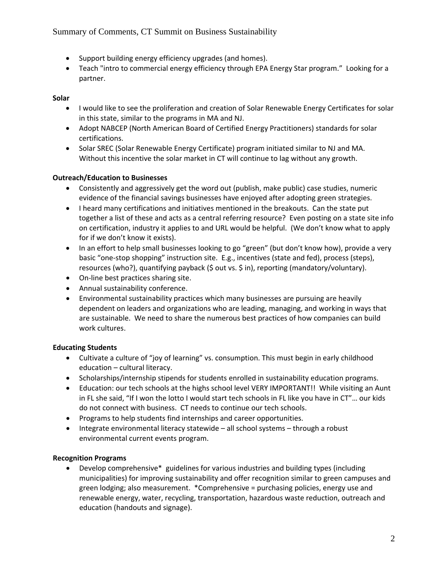- Support building energy efficiency upgrades (and homes).
- Teach "intro to commercial energy efficiency through EPA Energy Star program." Looking for a partner.

# **Solar**

- I would like to see the proliferation and creation of Solar Renewable Energy Certificates for solar in this state, similar to the programs in MA and NJ.
- Adopt NABCEP (North American Board of Certified Energy Practitioners) standards for solar certifications.
- Solar SREC (Solar Renewable Energy Certificate) program initiated similar to NJ and MA. Without this incentive the solar market in CT will continue to lag without any growth.

# **Outreach/Education to Businesses**

- Consistently and aggressively get the word out (publish, make public) case studies, numeric evidence of the financial savings businesses have enjoyed after adopting green strategies.
- I heard many certifications and initiatives mentioned in the breakouts. Can the state put together a list of these and acts as a central referring resource? Even posting on a state site info on certification, industry it applies to and URL would be helpful. (We don't know what to apply for if we don't know it exists).
- In an effort to help small businesses looking to go "green" (but don't know how), provide a very basic "one‐stop shopping" instruction site. E.g., incentives (state and fed), process (steps), resources (who?), quantifying payback (\$ out vs. \$ in), reporting (mandatory/voluntary).
- On-line best practices sharing site.
- Annual sustainability conference.
- Environmental sustainability practices which many businesses are pursuing are heavily dependent on leaders and organizations who are leading, managing, and working in ways that are sustainable. We need to share the numerous best practices of how companies can build work cultures.

# **Educating Students**

- Cultivate a culture of "joy of learning" vs. consumption. This must begin in early childhood education – cultural literacy.
- Scholarships/internship stipends for students enrolled in sustainability education programs.
- Education: our tech schools at the highs school level VERY IMPORTANT!! While visiting an Aunt in FL she said, "If I won the lotto I would start tech schools in FL like you have in CT"… our kids do not connect with business. CT needs to continue our tech schools.
- Programs to help students find internships and career opportunities.
- Integrate environmental literacy statewide all school systems through a robust environmental current events program.

### **Recognition Programs**

• Develop comprehensive\* guidelines for various industries and building types (including municipalities) for improving sustainability and offer recognition similar to green campuses and green lodging; also measurement. \*Comprehensive = purchasing policies, energy use and renewable energy, water, recycling, transportation, hazardous waste reduction, outreach and education (handouts and signage).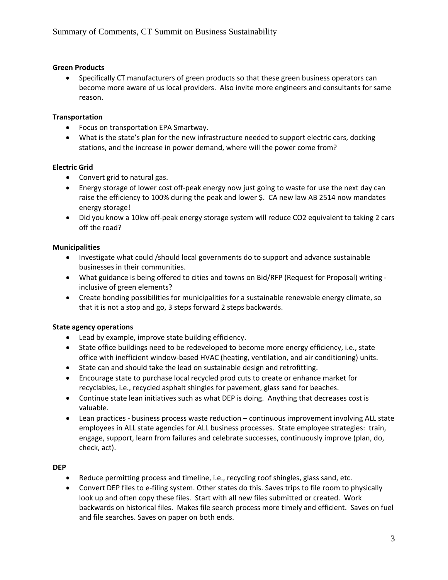## **Green Products**

• Specifically CT manufacturers of green products so that these green business operators can become more aware of us local providers. Also invite more engineers and consultants for same reason.

## **Transportation**

- Focus on transportation EPA Smartway.
- What is the state's plan for the new infrastructure needed to support electric cars, docking stations, and the increase in power demand, where will the power come from?

## **Electric Grid**

- Convert grid to natural gas.
- Energy storage of lower cost off-peak energy now just going to waste for use the next day can raise the efficiency to 100% during the peak and lower \$. CA new law AB 2514 now mandates energy storage!
- Did you know a 10kw off‐peak energy storage system will reduce CO2 equivalent to taking 2 cars off the road?

## **Municipalities**

- Investigate what could /should local governments do to support and advance sustainable businesses in their communities.
- What guidance is being offered to cities and towns on Bid/RFP (Request for Proposal) writing ‐ inclusive of green elements?
- Create bonding possibilities for municipalities for a sustainable renewable energy climate, so that it is not a stop and go, 3 steps forward 2 steps backwards.

### **State agency operations**

- Lead by example, improve state building efficiency.
- State office buildings need to be redeveloped to become more energy efficiency, i.e., state office with inefficient window‐based HVAC (heating, ventilation, and air conditioning) units.
- State can and should take the lead on sustainable design and retrofitting.
- Encourage state to purchase local recycled prod cuts to create or enhance market for recyclables, i.e., recycled asphalt shingles for pavement, glass sand for beaches.
- Continue state lean initiatives such as what DEP is doing. Anything that decreases cost is valuable.
- Lean practices business process waste reduction continuous improvement involving ALL state employees in ALL state agencies for ALL business processes. State employee strategies: train, engage, support, learn from failures and celebrate successes, continuously improve (plan, do, check, act).

# **DEP**

- Reduce permitting process and timeline, i.e., recycling roof shingles, glass sand, etc.
- Convert DEP files to e‐filing system. Other states do this. Saves trips to file room to physically look up and often copy these files. Start with all new files submitted or created. Work backwards on historical files. Makes file search process more timely and efficient. Saves on fuel and file searches. Saves on paper on both ends.